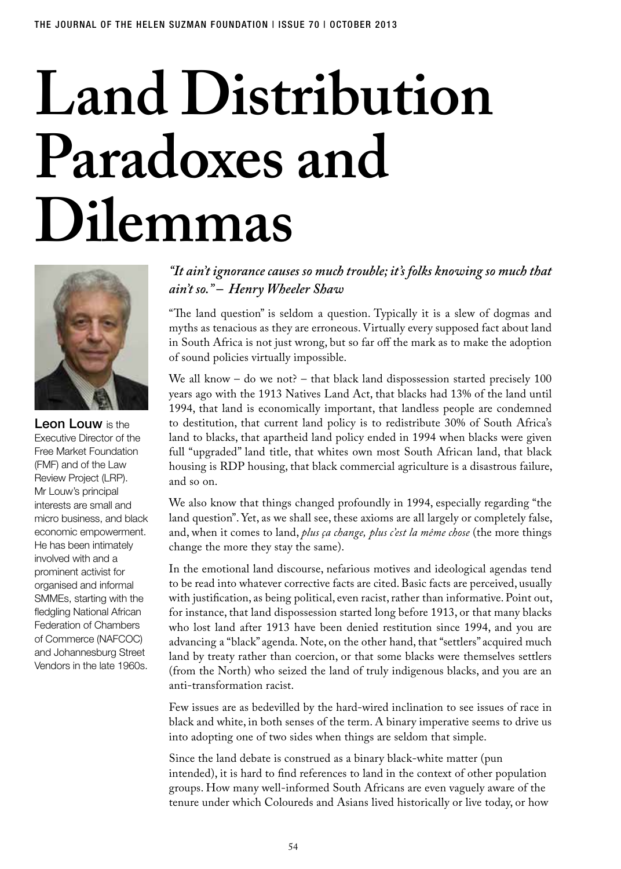# **Land Distribution Paradoxes and Dilemmas**



Leon Louw is the Executive Director of the Free Market Foundation (FMF) and of the Law Review Project (LRP). Mr Louw's principal interests are small and micro business, and black economic empowerment. He has been intimately involved with and a prominent activist for organised and informal SMMEs, starting with the fledgling National African Federation of Chambers of Commerce (NAFCOC) and Johannesburg Street Vendors in the late 1960s.

# *"It ain't ignorance causes so much trouble; it's folks knowing so much that ain't so." – Henry Wheeler Shaw*

"The land question" is seldom a question. Typically it is a slew of dogmas and myths as tenacious as they are erroneous. Virtually every supposed fact about land in South Africa is not just wrong, but so far off the mark as to make the adoption of sound policies virtually impossible.

We all know – do we not? – that black land dispossession started precisely 100 years ago with the 1913 Natives Land Act, that blacks had 13% of the land until 1994, that land is economically important, that landless people are condemned to destitution, that current land policy is to redistribute 30% of South Africa's land to blacks, that apartheid land policy ended in 1994 when blacks were given full "upgraded" land title, that whites own most South African land, that black housing is RDP housing, that black commercial agriculture is a disastrous failure, and so on.

We also know that things changed profoundly in 1994, especially regarding "the land question". Yet, as we shall see, these axioms are all largely or completely false, and, when it comes to land, *plus ça change, plus c'est la même chose* (the more things change the more they stay the same).

In the emotional land discourse, nefarious motives and ideological agendas tend to be read into whatever corrective facts are cited. Basic facts are perceived, usually with justification, as being political, even racist, rather than informative. Point out, for instance, that land dispossession started long before 1913, or that many blacks who lost land after 1913 have been denied restitution since 1994, and you are advancing a "black" agenda. Note, on the other hand, that "settlers" acquired much land by treaty rather than coercion, or that some blacks were themselves settlers (from the North) who seized the land of truly indigenous blacks, and you are an anti-transformation racist.

Few issues are as bedevilled by the hard-wired inclination to see issues of race in black and white, in both senses of the term. A binary imperative seems to drive us into adopting one of two sides when things are seldom that simple.

Since the land debate is construed as a binary black-white matter (pun intended), it is hard to find references to land in the context of other population groups. How many well-informed South Africans are even vaguely aware of the tenure under which Coloureds and Asians lived historically or live today, or how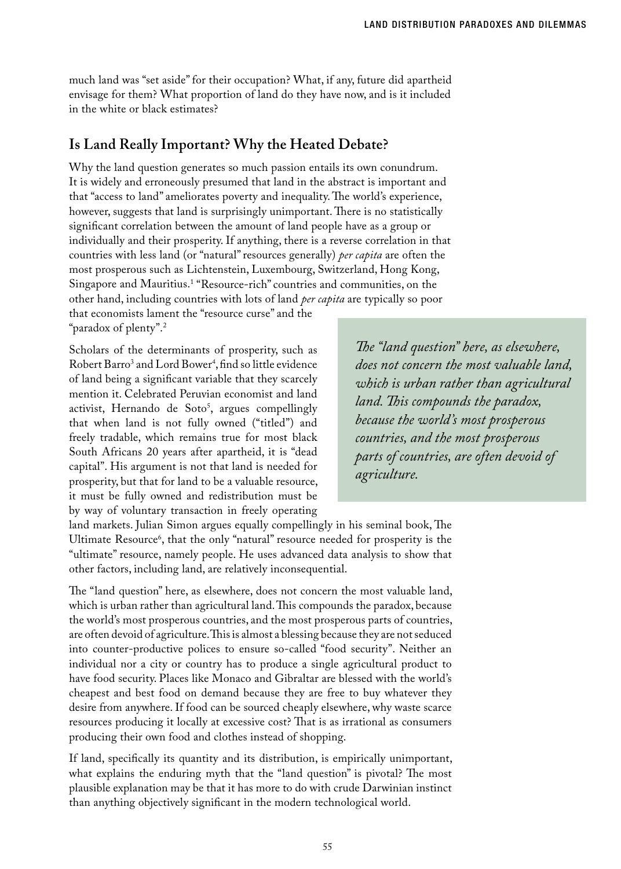much land was "set aside" for their occupation? What, if any, future did apartheid envisage for them? What proportion of land do they have now, and is it included in the white or black estimates?

# **Is Land Really Important? Why the Heated Debate?**

Why the land question generates so much passion entails its own conundrum. It is widely and erroneously presumed that land in the abstract is important and that "access to land" ameliorates poverty and inequality. The world's experience, however, suggests that land is surprisingly unimportant. There is no statistically significant correlation between the amount of land people have as a group or individually and their prosperity. If anything, there is a reverse correlation in that countries with less land (or "natural" resources generally) *per capita* are often the most prosperous such as Lichtenstein, Luxembourg, Switzerland, Hong Kong, Singapore and Mauritius.1 "Resource-rich" countries and communities, on the other hand, including countries with lots of land *per capita* are typically so poor that economists lament the "resource curse" and the

"paradox of plenty".2

Scholars of the determinants of prosperity, such as Robert Barro<sup>3</sup> and Lord Bower<sup>4</sup>, find so little evidence of land being a significant variable that they scarcely mention it. Celebrated Peruvian economist and land activist, Hernando de Soto<sup>5</sup>, argues compellingly that when land is not fully owned ("titled") and freely tradable, which remains true for most black South Africans 20 years after apartheid, it is "dead capital". His argument is not that land is needed for prosperity, but that for land to be a valuable resource, it must be fully owned and redistribution must be by way of voluntary transaction in freely operating

*The "land question" here, as elsewhere, does not concern the most valuable land, which is urban rather than agricultural land. This compounds the paradox, because the world's most prosperous countries, and the most prosperous parts of countries, are often devoid of agriculture.* 

land markets. Julian Simon argues equally compellingly in his seminal book, The Ultimate Resource<sup>6</sup>, that the only "natural" resource needed for prosperity is the "ultimate" resource, namely people. He uses advanced data analysis to show that other factors, including land, are relatively inconsequential.

The "land question" here, as elsewhere, does not concern the most valuable land, which is urban rather than agricultural land. This compounds the paradox, because the world's most prosperous countries, and the most prosperous parts of countries, are often devoid of agriculture. This is almost a blessing because they are not seduced into counter-productive polices to ensure so-called "food security". Neither an individual nor a city or country has to produce a single agricultural product to have food security. Places like Monaco and Gibraltar are blessed with the world's cheapest and best food on demand because they are free to buy whatever they desire from anywhere. If food can be sourced cheaply elsewhere, why waste scarce resources producing it locally at excessive cost? That is as irrational as consumers producing their own food and clothes instead of shopping.

If land, specifically its quantity and its distribution, is empirically unimportant, what explains the enduring myth that the "land question" is pivotal? The most plausible explanation may be that it has more to do with crude Darwinian instinct than anything objectively significant in the modern technological world.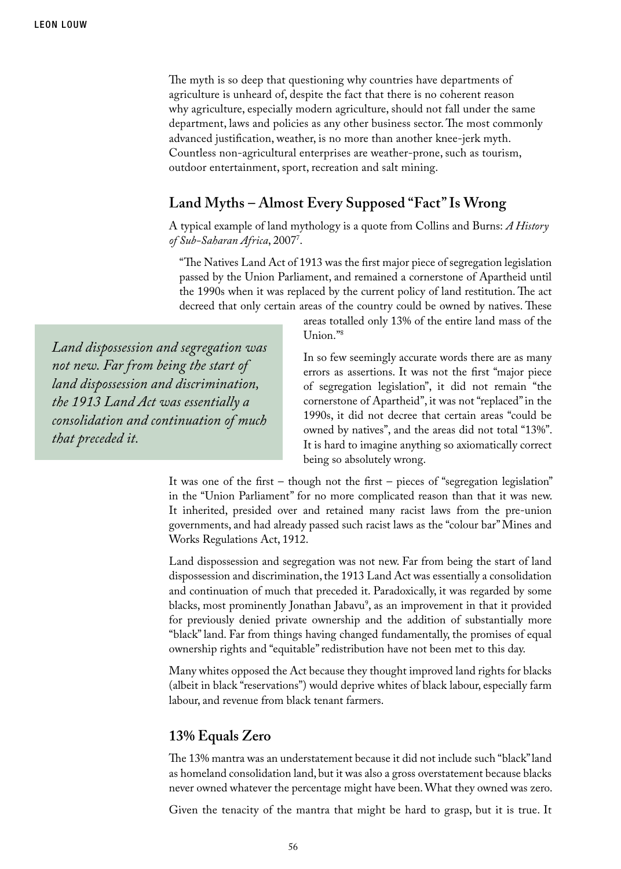*that preceded it.*

The myth is so deep that questioning why countries have departments of agriculture is unheard of, despite the fact that there is no coherent reason why agriculture, especially modern agriculture, should not fall under the same department, laws and policies as any other business sector. The most commonly advanced justification, weather, is no more than another knee-jerk myth. Countless non-agricultural enterprises are weather-prone, such as tourism, outdoor entertainment, sport, recreation and salt mining.

# **Land Myths – Almost Every Supposed "Fact" Is Wrong**

A typical example of land mythology is a quote from Collins and Burns: *A History*  of Sub-Saharan Africa, 2007'.

"The Natives Land Act of 1913 was the first major piece of segregation legislation passed by the Union Parliament, and remained a cornerstone of Apartheid until the 1990s when it was replaced by the current policy of land restitution. The act decreed that only certain areas of the country could be owned by natives. These

*Land dispossession and segregation was not new. Far from being the start of land dispossession and discrimination, the 1913 Land Act was essentially a consolidation and continuation of much* 

areas totalled only 13% of the entire land mass of the Union."8

In so few seemingly accurate words there are as many errors as assertions. It was not the first "major piece of segregation legislation", it did not remain "the cornerstone of Apartheid", it was not "replaced" in the 1990s, it did not decree that certain areas "could be owned by natives", and the areas did not total "13%". It is hard to imagine anything so axiomatically correct being so absolutely wrong.

It was one of the first – though not the first – pieces of "segregation legislation" in the "Union Parliament" for no more complicated reason than that it was new. It inherited, presided over and retained many racist laws from the pre-union governments, and had already passed such racist laws as the "colour bar" Mines and Works Regulations Act, 1912.

Land dispossession and segregation was not new. Far from being the start of land dispossession and discrimination, the 1913 Land Act was essentially a consolidation and continuation of much that preceded it. Paradoxically, it was regarded by some blacks, most prominently Jonathan Jabavu<sup>9</sup>, as an improvement in that it provided for previously denied private ownership and the addition of substantially more "black" land. Far from things having changed fundamentally, the promises of equal ownership rights and "equitable" redistribution have not been met to this day.

Many whites opposed the Act because they thought improved land rights for blacks (albeit in black "reservations") would deprive whites of black labour, especially farm labour, and revenue from black tenant farmers.

## **13% Equals Zero**

The 13% mantra was an understatement because it did not include such "black" land as homeland consolidation land, but it was also a gross overstatement because blacks never owned whatever the percentage might have been. What they owned was zero.

Given the tenacity of the mantra that might be hard to grasp, but it is true. It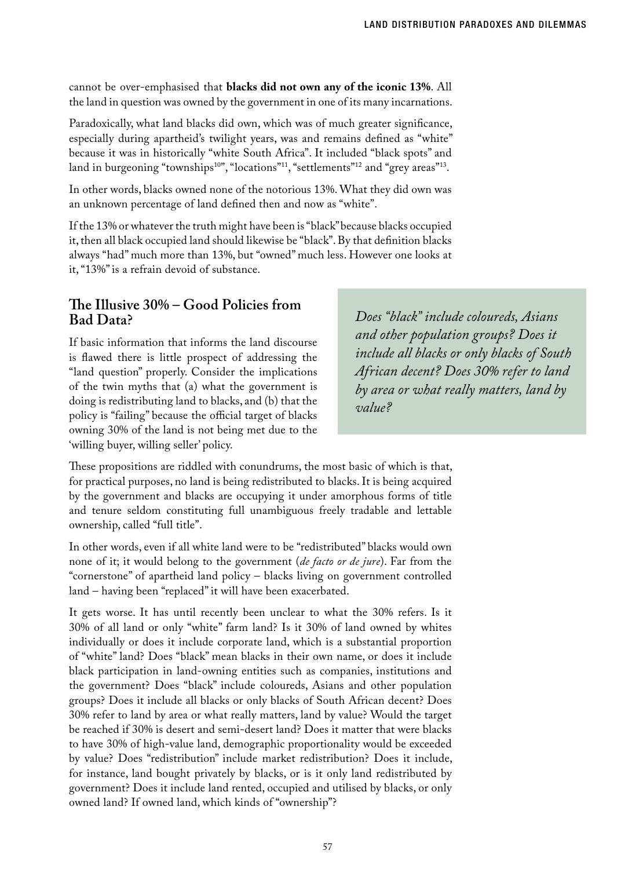cannot be over-emphasised that **blacks did not own any of the iconic 13%**. All the land in question was owned by the government in one of its many incarnations.

Paradoxically, what land blacks did own, which was of much greater significance, especially during apartheid's twilight years, was and remains defined as "white" because it was in historically "white South Africa". It included "black spots" and land in burgeoning "townships<sup>10"</sup>, "locations"<sup>11</sup>, "settlements"<sup>12</sup> and "grey areas"<sup>13</sup>.

In other words, blacks owned none of the notorious 13%. What they did own was an unknown percentage of land defined then and now as "white".

If the 13% or whatever the truth might have been is "black" because blacks occupied it, then all black occupied land should likewise be "black". By that definition blacks always "had" much more than 13%, but "owned" much less. However one looks at it, "13%" is a refrain devoid of substance.

## **The Illusive 30% – Good Policies from Bad Data?**

If basic information that informs the land discourse is flawed there is little prospect of addressing the "land question" properly. Consider the implications of the twin myths that (a) what the government is doing is redistributing land to blacks, and (b) that the policy is "failing" because the official target of blacks owning 30% of the land is not being met due to the 'willing buyer, willing seller' policy.

*Does "black" include coloureds, Asians and other population groups? Does it include all blacks or only blacks of South African decent? Does 30% refer to land by area or what really matters, land by value?* 

These propositions are riddled with conundrums, the most basic of which is that, for practical purposes, no land is being redistributed to blacks. It is being acquired by the government and blacks are occupying it under amorphous forms of title and tenure seldom constituting full unambiguous freely tradable and lettable ownership, called "full title".

In other words, even if all white land were to be "redistributed" blacks would own none of it; it would belong to the government (*de facto or de jure*). Far from the "cornerstone" of apartheid land policy – blacks living on government controlled land – having been "replaced" it will have been exacerbated.

It gets worse. It has until recently been unclear to what the 30% refers. Is it 30% of all land or only "white" farm land? Is it 30% of land owned by whites individually or does it include corporate land, which is a substantial proportion of "white" land? Does "black" mean blacks in their own name, or does it include black participation in land-owning entities such as companies, institutions and the government? Does "black" include coloureds, Asians and other population groups? Does it include all blacks or only blacks of South African decent? Does 30% refer to land by area or what really matters, land by value? Would the target be reached if 30% is desert and semi-desert land? Does it matter that were blacks to have 30% of high-value land, demographic proportionality would be exceeded by value? Does "redistribution" include market redistribution? Does it include, for instance, land bought privately by blacks, or is it only land redistributed by government? Does it include land rented, occupied and utilised by blacks, or only owned land? If owned land, which kinds of "ownership"?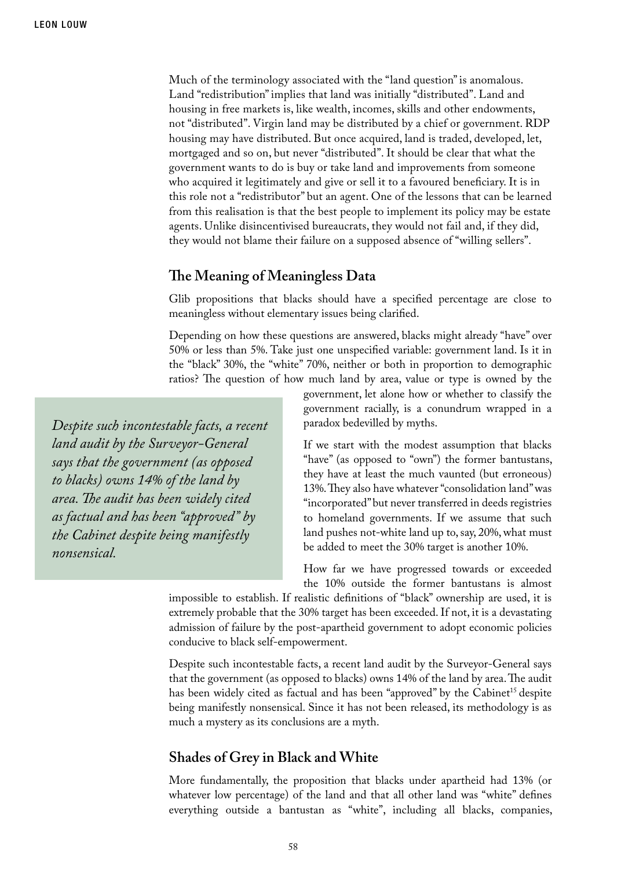Much of the terminology associated with the "land question" is anomalous. Land "redistribution" implies that land was initially "distributed". Land and housing in free markets is, like wealth, incomes, skills and other endowments, not "distributed". Virgin land may be distributed by a chief or government. RDP housing may have distributed. But once acquired, land is traded, developed, let, mortgaged and so on, but never "distributed". It should be clear that what the government wants to do is buy or take land and improvements from someone who acquired it legitimately and give or sell it to a favoured beneficiary. It is in this role not a "redistributor" but an agent. One of the lessons that can be learned from this realisation is that the best people to implement its policy may be estate agents. Unlike disincentivised bureaucrats, they would not fail and, if they did, they would not blame their failure on a supposed absence of "willing sellers".

#### **The Meaning of Meaningless Data**

Glib propositions that blacks should have a specified percentage are close to meaningless without elementary issues being clarified.

Depending on how these questions are answered, blacks might already "have" over 50% or less than 5%. Take just one unspecified variable: government land. Is it in the "black" 30%, the "white" 70%, neither or both in proportion to demographic ratios? The question of how much land by area, value or type is owned by the

*Despite such incontestable facts, a recent land audit by the Surveyor-General says that the government (as opposed to blacks) owns 14% of the land by area. The audit has been widely cited as factual and has been "approved" by the Cabinet despite being manifestly nonsensical.* 

government, let alone how or whether to classify the government racially, is a conundrum wrapped in a paradox bedevilled by myths.

If we start with the modest assumption that blacks "have" (as opposed to "own") the former bantustans, they have at least the much vaunted (but erroneous) 13%. They also have whatever "consolidation land" was "incorporated" but never transferred in deeds registries to homeland governments. If we assume that such land pushes not-white land up to, say, 20%, what must be added to meet the 30% target is another 10%.

How far we have progressed towards or exceeded the 10% outside the former bantustans is almost

impossible to establish. If realistic definitions of "black" ownership are used, it is extremely probable that the 30% target has been exceeded. If not, it is a devastating admission of failure by the post-apartheid government to adopt economic policies conducive to black self-empowerment.

Despite such incontestable facts, a recent land audit by the Surveyor-General says that the government (as opposed to blacks) owns 14% of the land by area. The audit has been widely cited as factual and has been "approved" by the Cabinet<sup>15</sup> despite being manifestly nonsensical. Since it has not been released, its methodology is as much a mystery as its conclusions are a myth.

## **Shades of Grey in Black and White**

More fundamentally, the proposition that blacks under apartheid had 13% (or whatever low percentage) of the land and that all other land was "white" defines everything outside a bantustan as "white", including all blacks, companies,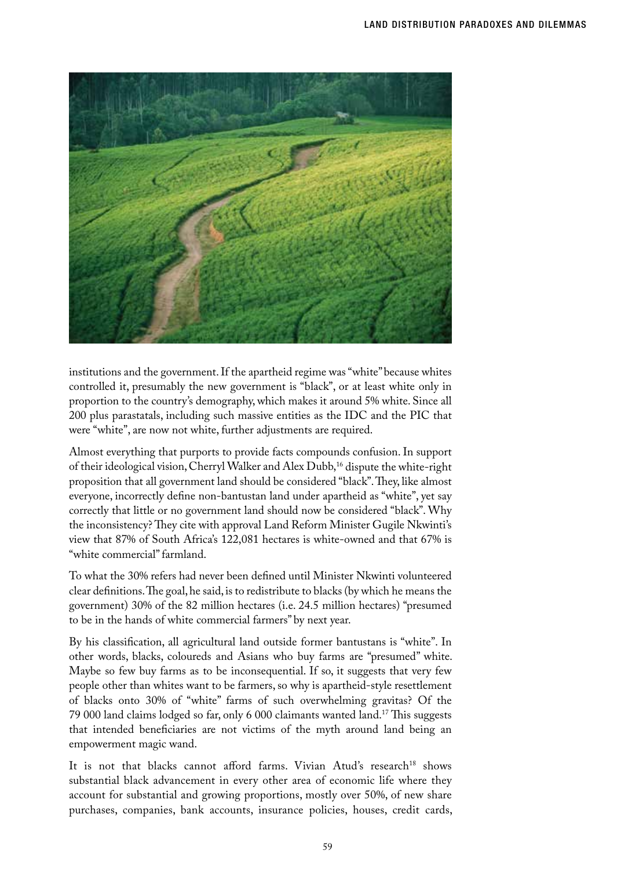

institutions and the government. If the apartheid regime was "white" because whites controlled it, presumably the new government is "black", or at least white only in proportion to the country's demography, which makes it around 5% white. Since all 200 plus parastatals, including such massive entities as the IDC and the PIC that were "white", are now not white, further adjustments are required.

Almost everything that purports to provide facts compounds confusion. In support of their ideological vision, Cherryl Walker and Alex Dubb,<sup>16</sup> dispute the white-right proposition that all government land should be considered "black". They, like almost everyone, incorrectly define non-bantustan land under apartheid as "white", yet say correctly that little or no government land should now be considered "black". Why the inconsistency? They cite with approval Land Reform Minister Gugile Nkwinti's view that 87% of South Africa's 122,081 hectares is white-owned and that 67% is "white commercial" farmland.

To what the 30% refers had never been defined until Minister Nkwinti volunteered clear definitions. The goal, he said, is to redistribute to blacks (by which he means the government) 30% of the 82 million hectares (i.e. 24.5 million hectares) "presumed to be in the hands of white commercial farmers" by next year.

By his classification, all agricultural land outside former bantustans is "white". In other words, blacks, coloureds and Asians who buy farms are "presumed" white. Maybe so few buy farms as to be inconsequential. If so, it suggests that very few people other than whites want to be farmers, so why is apartheid-style resettlement of blacks onto 30% of "white" farms of such overwhelming gravitas? Of the 79 000 land claims lodged so far, only 6 000 claimants wanted land.17 This suggests that intended beneficiaries are not victims of the myth around land being an empowerment magic wand.

It is not that blacks cannot afford farms. Vivian Atud's research<sup>18</sup> shows substantial black advancement in every other area of economic life where they account for substantial and growing proportions, mostly over 50%, of new share purchases, companies, bank accounts, insurance policies, houses, credit cards,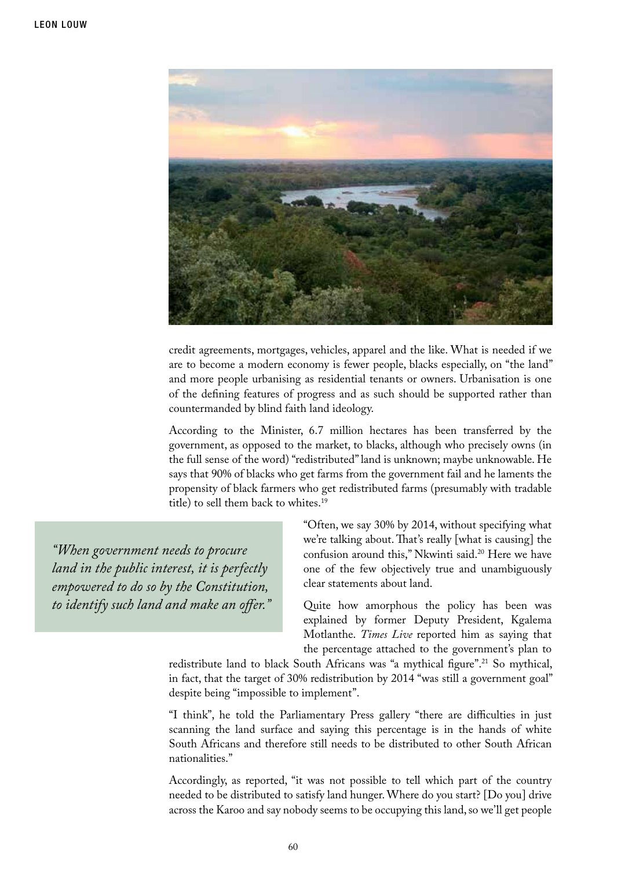

credit agreements, mortgages, vehicles, apparel and the like. What is needed if we are to become a modern economy is fewer people, blacks especially, on "the land" and more people urbanising as residential tenants or owners. Urbanisation is one of the defining features of progress and as such should be supported rather than countermanded by blind faith land ideology.

According to the Minister, 6.7 million hectares has been transferred by the government, as opposed to the market, to blacks, although who precisely owns (in the full sense of the word) "redistributed" land is unknown; maybe unknowable. He says that 90% of blacks who get farms from the government fail and he laments the propensity of black farmers who get redistributed farms (presumably with tradable title) to sell them back to whites.19

*"When government needs to procure land in the public interest, it is perfectly empowered to do so by the Constitution, to identify such land and make an offer."* "Often, we say 30% by 2014, without specifying what we're talking about. That's really [what is causing] the confusion around this," Nkwinti said.20 Here we have one of the few objectively true and unambiguously clear statements about land.

Quite how amorphous the policy has been was explained by former Deputy President, Kgalema Motlanthe. *Times Live* reported him as saying that the percentage attached to the government's plan to

redistribute land to black South Africans was "a mythical figure".<sup>21</sup> So mythical, in fact, that the target of 30% redistribution by 2014 "was still a government goal" despite being "impossible to implement".

"I think", he told the Parliamentary Press gallery "there are difficulties in just scanning the land surface and saying this percentage is in the hands of white South Africans and therefore still needs to be distributed to other South African nationalities."

Accordingly, as reported, "it was not possible to tell which part of the country needed to be distributed to satisfy land hunger. Where do you start? [Do you] drive across the Karoo and say nobody seems to be occupying this land, so we'll get people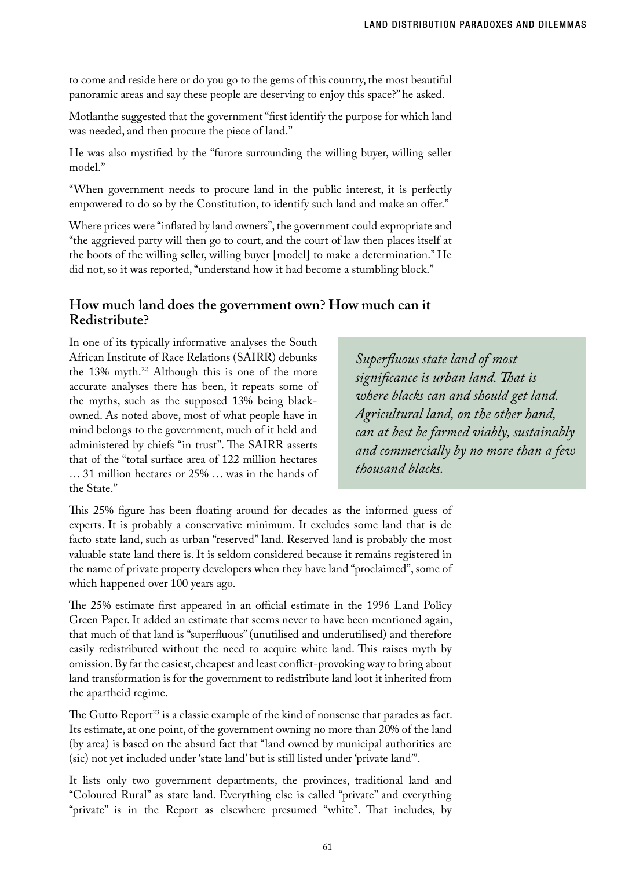to come and reside here or do you go to the gems of this country, the most beautiful panoramic areas and say these people are deserving to enjoy this space?" he asked.

Motlanthe suggested that the government "first identify the purpose for which land was needed, and then procure the piece of land."

He was also mystified by the "furore surrounding the willing buyer, willing seller model."

"When government needs to procure land in the public interest, it is perfectly empowered to do so by the Constitution, to identify such land and make an offer."

Where prices were "inflated by land owners", the government could expropriate and "the aggrieved party will then go to court, and the court of law then places itself at the boots of the willing seller, willing buyer [model] to make a determination." He did not, so it was reported, "understand how it had become a stumbling block."

## **How much land does the government own? How much can it Redistribute?**

In one of its typically informative analyses the South African Institute of Race Relations (SAIRR) debunks the 13% myth.<sup>22</sup> Although this is one of the more accurate analyses there has been, it repeats some of the myths, such as the supposed 13% being blackowned. As noted above, most of what people have in mind belongs to the government, much of it held and administered by chiefs "in trust". The SAIRR asserts that of the "total surface area of 122 million hectares … 31 million hectares or 25% … was in the hands of the State."

*Superfluous state land of most significance is urban land. That is where blacks can and should get land. Agricultural land, on the other hand, can at best be farmed viably, sustainably and commercially by no more than a few thousand blacks.*

This 25% figure has been floating around for decades as the informed guess of experts. It is probably a conservative minimum. It excludes some land that is de facto state land, such as urban "reserved" land. Reserved land is probably the most valuable state land there is. It is seldom considered because it remains registered in the name of private property developers when they have land "proclaimed", some of which happened over 100 years ago.

The 25% estimate first appeared in an official estimate in the 1996 Land Policy Green Paper. It added an estimate that seems never to have been mentioned again, that much of that land is "superfluous" (unutilised and underutilised) and therefore easily redistributed without the need to acquire white land. This raises myth by omission. By far the easiest, cheapest and least conflict-provoking way to bring about land transformation is for the government to redistribute land loot it inherited from the apartheid regime.

The Gutto Report<sup>23</sup> is a classic example of the kind of nonsense that parades as fact. Its estimate, at one point, of the government owning no more than 20% of the land (by area) is based on the absurd fact that "land owned by municipal authorities are (sic) not yet included under 'state land' but is still listed under 'private land'".

It lists only two government departments, the provinces, traditional land and "Coloured Rural" as state land. Everything else is called "private" and everything "private" is in the Report as elsewhere presumed "white". That includes, by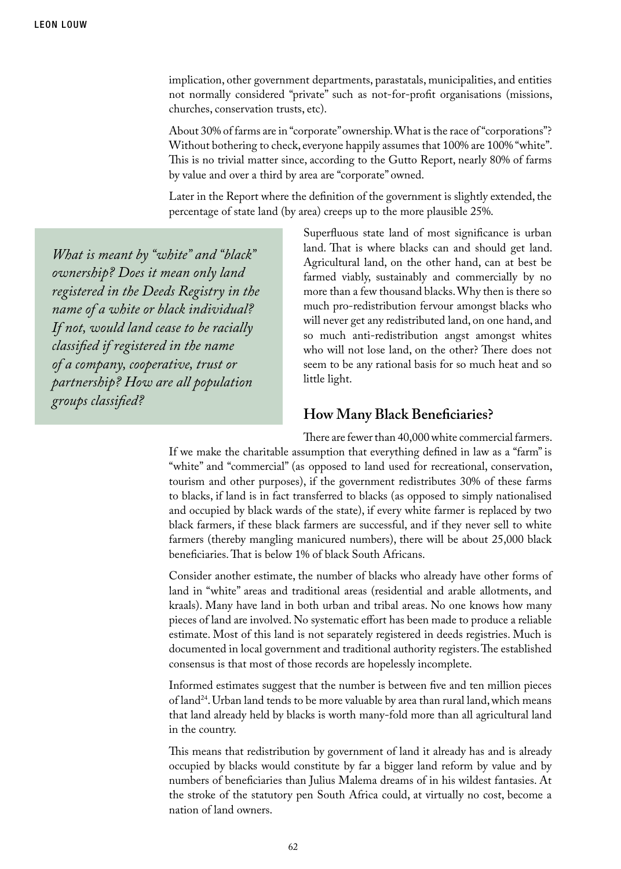implication, other government departments, parastatals, municipalities, and entities not normally considered "private" such as not-for-profit organisations (missions, churches, conservation trusts, etc).

About 30% of farms are in "corporate" ownership. What is the race of "corporations"? Without bothering to check, everyone happily assumes that 100% are 100% "white". This is no trivial matter since, according to the Gutto Report, nearly 80% of farms by value and over a third by area are "corporate" owned.

Later in the Report where the definition of the government is slightly extended, the percentage of state land (by area) creeps up to the more plausible 25%.

*What is meant by "white" and "black" ownership? Does it mean only land registered in the Deeds Registry in the name of a white or black individual? If not, would land cease to be racially classified if registered in the name of a company, cooperative, trust or partnership? How are all population groups classified?* 

Superfluous state land of most significance is urban land. That is where blacks can and should get land. Agricultural land, on the other hand, can at best be farmed viably, sustainably and commercially by no more than a few thousand blacks. Why then is there so much pro-redistribution fervour amongst blacks who will never get any redistributed land, on one hand, and so much anti-redistribution angst amongst whites who will not lose land, on the other? There does not seem to be any rational basis for so much heat and so little light.

#### **How Many Black Beneficiaries?**

There are fewer than 40,000 white commercial farmers. If we make the charitable assumption that everything defined in law as a "farm" is "white" and "commercial" (as opposed to land used for recreational, conservation, tourism and other purposes), if the government redistributes 30% of these farms to blacks, if land is in fact transferred to blacks (as opposed to simply nationalised and occupied by black wards of the state), if every white farmer is replaced by two black farmers, if these black farmers are successful, and if they never sell to white farmers (thereby mangling manicured numbers), there will be about 25,000 black beneficiaries. That is below 1% of black South Africans.

Consider another estimate, the number of blacks who already have other forms of land in "white" areas and traditional areas (residential and arable allotments, and kraals). Many have land in both urban and tribal areas. No one knows how many pieces of land are involved. No systematic effort has been made to produce a reliable estimate. Most of this land is not separately registered in deeds registries. Much is documented in local government and traditional authority registers. The established consensus is that most of those records are hopelessly incomplete.

Informed estimates suggest that the number is between five and ten million pieces of land24. Urban land tends to be more valuable by area than rural land, which means that land already held by blacks is worth many-fold more than all agricultural land in the country.

This means that redistribution by government of land it already has and is already occupied by blacks would constitute by far a bigger land reform by value and by numbers of beneficiaries than Julius Malema dreams of in his wildest fantasies. At the stroke of the statutory pen South Africa could, at virtually no cost, become a nation of land owners.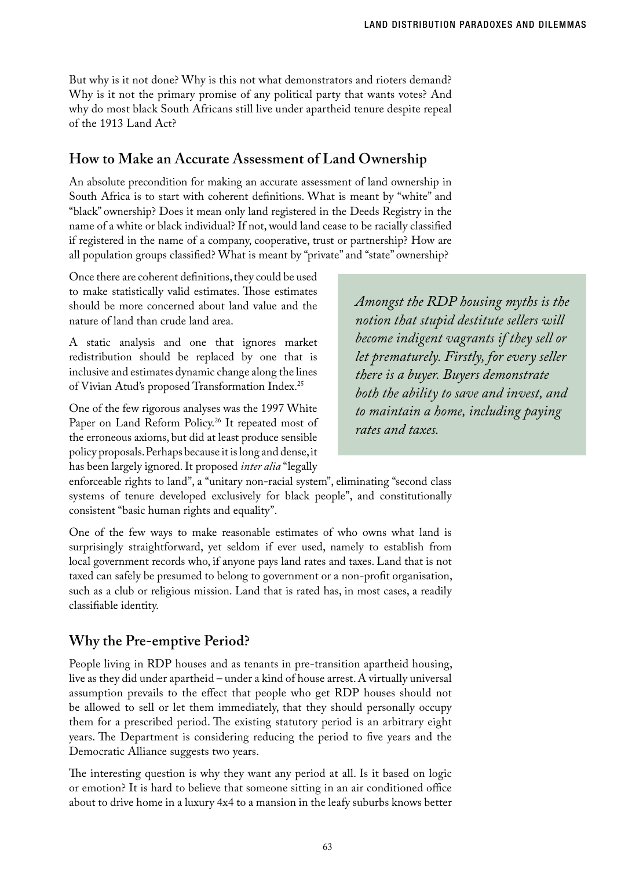But why is it not done? Why is this not what demonstrators and rioters demand? Why is it not the primary promise of any political party that wants votes? And why do most black South Africans still live under apartheid tenure despite repeal of the 1913 Land Act?

### **How to Make an Accurate Assessment of Land Ownership**

An absolute precondition for making an accurate assessment of land ownership in South Africa is to start with coherent definitions. What is meant by "white" and "black" ownership? Does it mean only land registered in the Deeds Registry in the name of a white or black individual? If not, would land cease to be racially classified if registered in the name of a company, cooperative, trust or partnership? How are all population groups classified? What is meant by "private" and "state" ownership?

Once there are coherent definitions, they could be used to make statistically valid estimates. Those estimates should be more concerned about land value and the nature of land than crude land area.

A static analysis and one that ignores market redistribution should be replaced by one that is inclusive and estimates dynamic change along the lines of Vivian Atud's proposed Transformation Index.25

One of the few rigorous analyses was the 1997 White Paper on Land Reform Policy.<sup>26</sup> It repeated most of the erroneous axioms, but did at least produce sensible policy proposals. Perhaps because it is long and dense, it has been largely ignored. It proposed *inter alia* "legally

*Amongst the RDP housing myths is the notion that stupid destitute sellers will become indigent vagrants if they sell or let prematurely. Firstly, for every seller there is a buyer. Buyers demonstrate both the ability to save and invest, and to maintain a home, including paying rates and taxes.* 

enforceable rights to land", a "unitary non-racial system", eliminating "second class systems of tenure developed exclusively for black people", and constitutionally consistent "basic human rights and equality".

One of the few ways to make reasonable estimates of who owns what land is surprisingly straightforward, yet seldom if ever used, namely to establish from local government records who, if anyone pays land rates and taxes. Land that is not taxed can safely be presumed to belong to government or a non-profit organisation, such as a club or religious mission. Land that is rated has, in most cases, a readily classifiable identity.

#### **Why the Pre-emptive Period?**

People living in RDP houses and as tenants in pre-transition apartheid housing, live as they did under apartheid – under a kind of house arrest. A virtually universal assumption prevails to the effect that people who get RDP houses should not be allowed to sell or let them immediately, that they should personally occupy them for a prescribed period. The existing statutory period is an arbitrary eight years. The Department is considering reducing the period to five years and the Democratic Alliance suggests two years.

The interesting question is why they want any period at all. Is it based on logic or emotion? It is hard to believe that someone sitting in an air conditioned office about to drive home in a luxury 4x4 to a mansion in the leafy suburbs knows better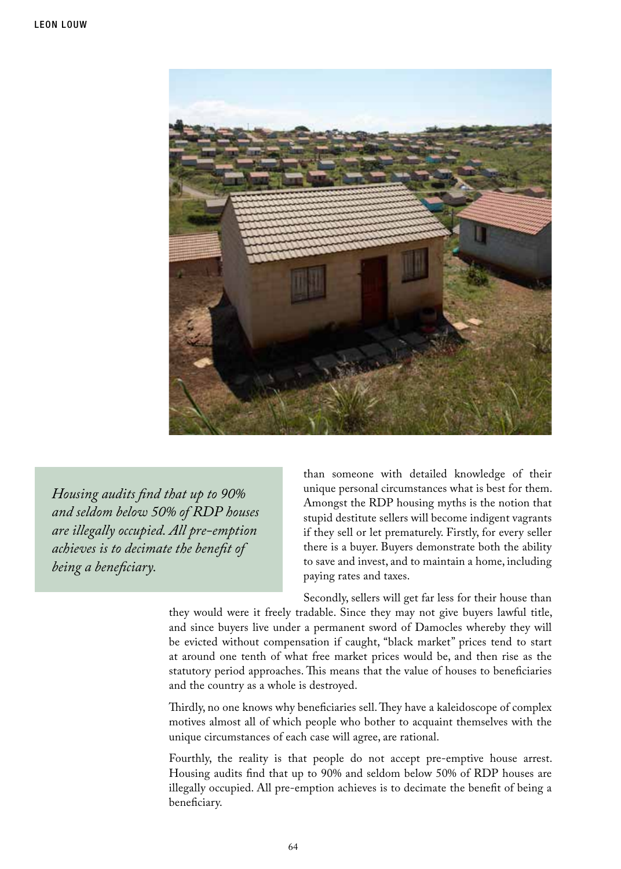

*Housing audits find that up to 90% and seldom below 50% of RDP houses are illegally occupied. All pre-emption achieves is to decimate the benefit of being a beneficiary.*

than someone with detailed knowledge of their unique personal circumstances what is best for them. Amongst the RDP housing myths is the notion that stupid destitute sellers will become indigent vagrants if they sell or let prematurely. Firstly, for every seller there is a buyer. Buyers demonstrate both the ability to save and invest, and to maintain a home, including paying rates and taxes.

Secondly, sellers will get far less for their house than

they would were it freely tradable. Since they may not give buyers lawful title, and since buyers live under a permanent sword of Damocles whereby they will be evicted without compensation if caught, "black market" prices tend to start at around one tenth of what free market prices would be, and then rise as the statutory period approaches. This means that the value of houses to beneficiaries and the country as a whole is destroyed.

Thirdly, no one knows why beneficiaries sell. They have a kaleidoscope of complex motives almost all of which people who bother to acquaint themselves with the unique circumstances of each case will agree, are rational.

Fourthly, the reality is that people do not accept pre-emptive house arrest. Housing audits find that up to 90% and seldom below 50% of RDP houses are illegally occupied. All pre-emption achieves is to decimate the benefit of being a beneficiary.